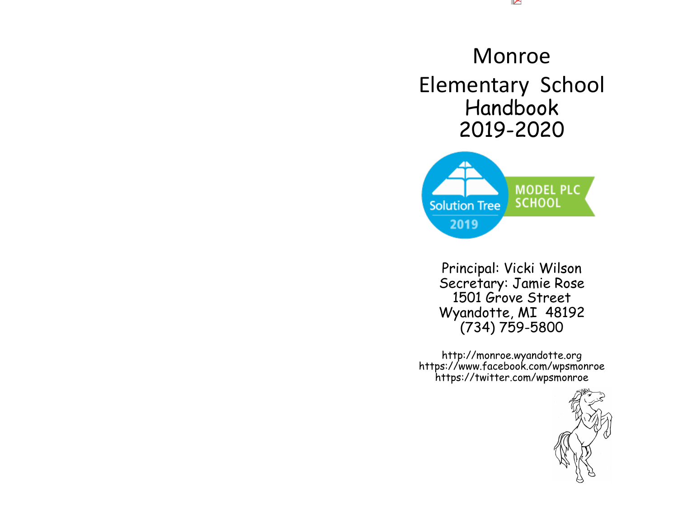#### $\sim$

# Monroe Elementary School Handbook 2019-2020



Principal: Vicki Wilson Secretary: Jamie Rose 1501 Grove Street Wyandotte, MI 48192 (734) 759-5800

http://monroe.wyandotte.org https://www.facebook.com/wpsmonroe https://twitter.com/wpsmonroe

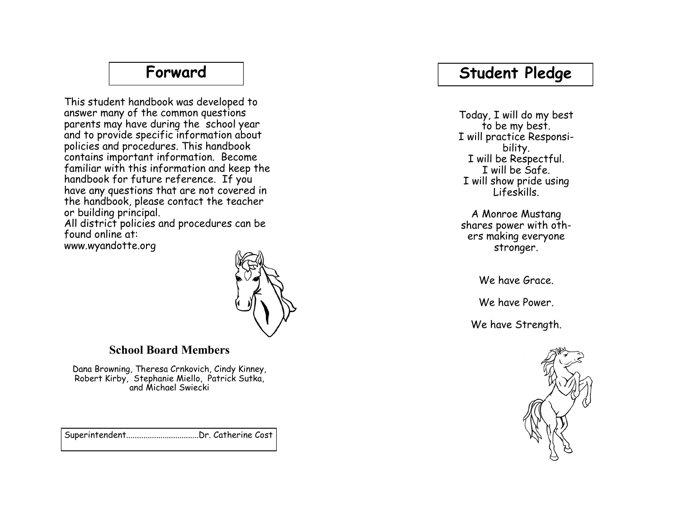### **Student Pledge**

Today, I will do my best to be my best. I will practice Responsibility. I will be Respectful. I will be Safe. I will show pride using Lifeskills.

A Monroe Mustang shares power with others making everyone stronger.

We have Grace.

We have Power.

We have Strength.



#### **Forward**

This student handbook was developed to answer many of the common questions parents may have during the school year and to provide specific information about policies and procedures. This handbook contains important information. Become familiar with this information and keep the handbook for future reference. If you have any questions that are not covered in the handbook, please contact the teacher or building principal.

All district policies and procedures can be found online at: www.wyandotte.org



#### **School Board Members**

Dana Browning, Theresa Crnkovich, Cindy Kinney, Robert Kirby, Stephanie Miello, Patrick Sutka, and Michael Swiecki

Superintendent..................................Dr. Catherine Cost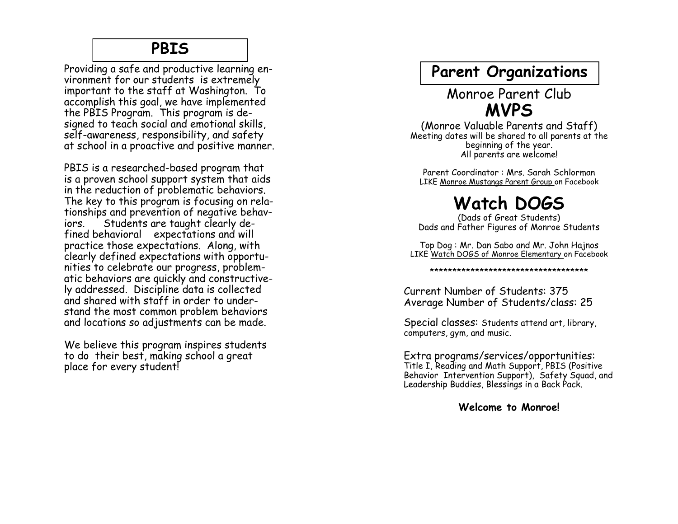#### **PBIS**

Providing a safe and productive learning environment for our students is extremely important to the staff at Washington. To accomplish this goal, we have implemented the PBIS Program. This program is designed to teach social and emotional skills, self -awareness, responsibility, and safety at school in a proactive and positive manner.

PBIS is a researched -based program that is a proven school support system that aids in the reduction of problematic behaviors. The key to this program is focusing on relationships and prevention of negative behaviors. Students are taught clearly defined behavioral expectations and will practice those expectations. Along, with clearly defined expectations with opportunities to celebrate our progress, problematic behaviors are quickly and constructively addressed. Discipline data is collected and shared with staff in order to understand the most common problem behaviors and locations so adjustments can be made.

We believe this program inspires students to do their best, making school a great place for every student!

#### **Parent Organizations**

#### Monroe Parent Club **MVPS**

(Monroe Valuable Parents and Staff) Meeting dates will be shared to all parents at the beginning of the year. All parents are welcome!

Parent Coordinator : Mrs. Sarah Schlorman LIKE Monroe Mustangs Parent Group on Facebook

# **Watch DOGS**

(Dads of Great Students) Dads and Father Figures of Monroe Students

Top Dog : Mr. Dan Sabo and Mr. John Hajnos LIKE Watch DOGS of Monroe Elementary on Facebook

\*\*\*\*\*\*\*\*\*\*\*\*\*\*\*\*\*\*\*\*\*\*\*\*\*\*\*\*\*\*\*\*\*\*\*

Current Number of Students: 375 Average Number of Students/class: 25

Special classes: Students attend art, library, computers, gym, and music.

Extra programs/services/opportunities: Title I, Reading and Math Support, PBIS (Positive Behavior Intervention Support), Safety Squad, and Leadership Buddies, Blessings in a Back Pack.

**Welcome to Monroe!**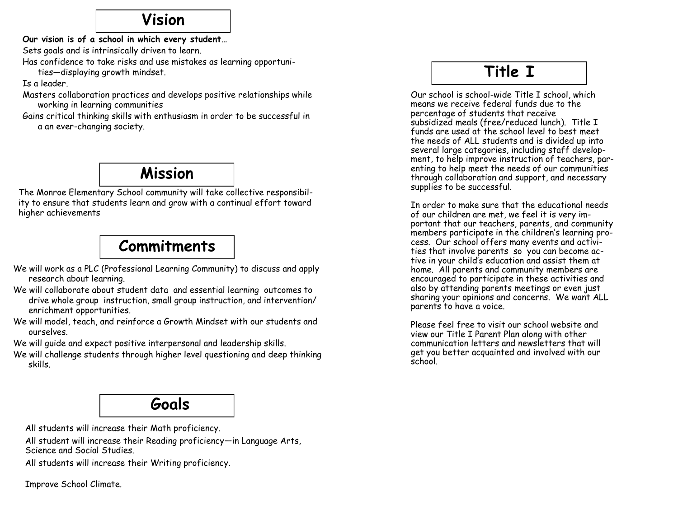#### **Vision**

**Our vision is of a school in which every student…**

Sets goals and is intrinsically driven to learn.

Has confidence to take risks and use mistakes as learning opportuni-

ties—displaying growth mindset.

Is a leader.

Masters collaboration practices and develops positive relationships while working in learning communities

Gains critical thinking skills with enthusiasm in order to be successful in a an ever-changing society.

## **Mission**

The Monroe Elementary School community will take collective responsibility to ensure that students learn and grow with a continual effort toward higher achievements

# **Commitments**

- We will work as a PLC (Professional Learning Community) to discuss and apply research about learning.
- We will collaborate about student data and essential learning outcomes to drive whole group instruction, small group instruction, and intervention/ enrichment opportunities.
- We will model, teach, and reinforce a Growth Mindset with our students and ourselves.

We will guide and expect positive interpersonal and leadership skills.

We will challenge students through higher level questioning and deep thinking skills.

## **Goals**

[All students will increase their Math proficiency.](http://www.advanc-ed.org/assist/s/goal/view?id=116054)

All student will increase their Reading proficiency—in Language Arts, Science and Social Studies.

[All students will increase their Writing proficiency.](http://www.advanc-ed.org/assist/s/goal/view?id=122240)

Improve School Climate.

## **Title I**

Our school is school-wide Title I school, which means we receive federal funds due to the percentage of students that receive subsidized meals (free/reduced lunch). Title I funds are used at the school level to best meet the needs of ALL students and is divided up into several large categories, including staff development, to help improve instruction of teachers, parenting to help meet the needs of our communities through collaboration and support, and necessary supplies to be successful.

In order to make sure that the educational needs of our children are met, we feel it is very important that our teachers, parents, and community members participate in the children's learning process. Our school offers many events and activities that involve parents so you can become active in your child's education and assist them at home. All parents and community members are encouraged to participate in these activities and also by attending parents meetings or even just sharing your opinions and concerns. We want ALL parents to have a voice.

Please feel free to visit our school website and view our Title I Parent Plan along with other communication letters and newsletters that will get you better acquainted and involved with our school.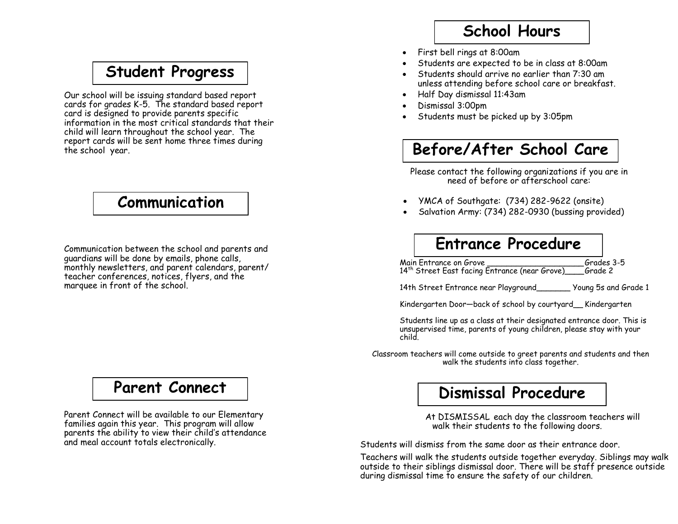### **Student Progress**

Our school will be issuing standard based report cards for grades K-5. The standard based report card is designed to provide parents specific information in the most critical standards that their child will learn throughout the school year. The report cards will be sent home three times during the school year.

## **Communication**

Communication between the school and parents and guardians will be done by emails, phone calls, monthly newsletters, and parent calendars, parent/ teacher conferences, notices, flyers, and the marquee in front of the school.

### **Parent Connect**

Parent Connect will be available to our Elementary families again this year. This program will allow parents the ability to view their child's attendance and meal account totals electronically.

## **School Hours**

- First bell rings at 8:00am
- Students are expected to be in class at 8:00am
- Students should arrive no earlier than 7:30 am unless attending before school care or breakfast.
- Half Day dismissal 11:43am
- Dismissal 3:00pm
- Students must be picked up by 3:05pm

## **Before/After School Care**

Please contact the following organizations if you are in need of before or afterschool care:

- YMCA of Southgate: (734) 282-9622 (onsite)
- Salvation Army: (734) 282-0930 (bussing provided)

## **Entrance Procedure**

Main Entrance on Grove \_\_\_\_\_\_\_\_\_\_\_\_\_\_\_\_\_\_\_\_\_\_\_\_Grades 3-5<br>14<sup>th</sup> Street Fast facing Entrance (near Grove) Grade 2 14<sup>th</sup> Street East facing Entrance (near Grove)

14th Street Entrance near Playground\_\_\_\_\_\_\_ Young 5s and Grade 1

Kindergarten Door—back of school by courtyard\_\_ Kindergarten

Students line up as a class at their designated entrance door. This is unsupervised time, parents of young children, please stay with your child.

Classroom teachers will come outside to greet parents and students and then walk the students into class together.

### **Dismissal Procedure**

 At DISMISSAL each day the classroom teachers will walk their students to the following doors.

Students will dismiss from the same door as their entrance door.

Teachers will walk the students outside together everyday. Siblings may walk outside to their siblings dismissal door. There will be staff presence outside during dismissal time to ensure the safety of our children.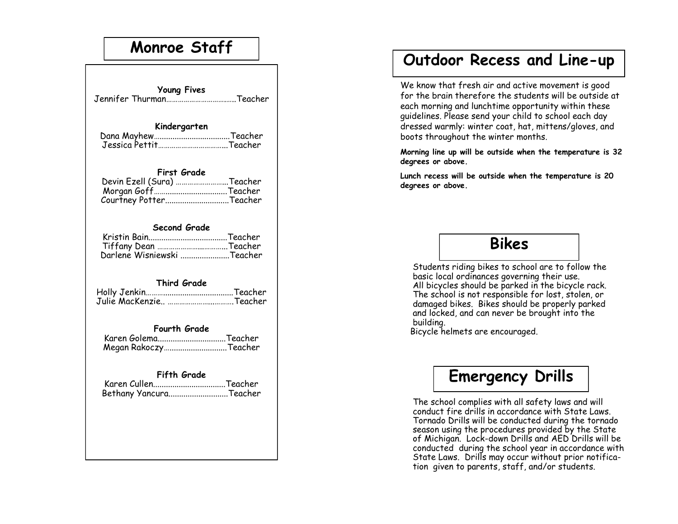### **Monroe Staff**

| <b>Young Fives</b><br>Jennifer ThurmanTeacher                                                    |
|--------------------------------------------------------------------------------------------------|
| Kindergarten<br>Jessica PettitTeacher                                                            |
| <b>First Grade</b><br>Devin Ezell (Sura) Teacher<br>Morgan GoffTeacher<br>Courtney PotterTeacher |
| Second Grade<br>Tiffany Dean Teacher<br>Darlene Wisniewski Teacher                               |
| <b>Third Grade</b><br>Julie MacKenzie Teacher                                                    |
| <b>Fourth Grade</b><br>Karen GolemaTeacher<br>Megan Rakoczy Teacher                              |
| Fifth Grade<br>Karen CullenTeacher<br>Bethany YancuraTeacher                                     |
|                                                                                                  |

### **Outdoor Recess and Line -up**

We know that fresh air and active movement is good for the brain therefore the students will be outside at each morning and lunchtime opportunity within these guidelines. Please send your child to school each day dressed warmly: winter coat, hat, mittens/gloves, and boots throughout the winter months.

**Morning line up will be outside when the temperature is 32 degrees or above.** 

**Lunch recess will be outside when the temperature is 20 degrees or above.**

#### **Bikes**

Students riding bikes to school are to follow the basic local ordinances governing their use. All bicycles should be parked in the bicycle rack. The school is not responsible for lost, stolen, or damaged bikes. Bikes should be properly parked and locked, and can never be brought into the building.

Bicycle helmets are encouraged.

## **Emergency Drills**

The school complies with all safety laws and will conduct fire drills in accordance with State Laws. Tornado Drills will be conducted during the tornado season using the procedures provided by the State of Michigan. Lock -down Drills and AED Drills will be conducted during the school year in accordance with State Laws. Drills may occur without prior notification given to parents, staff, and/or students.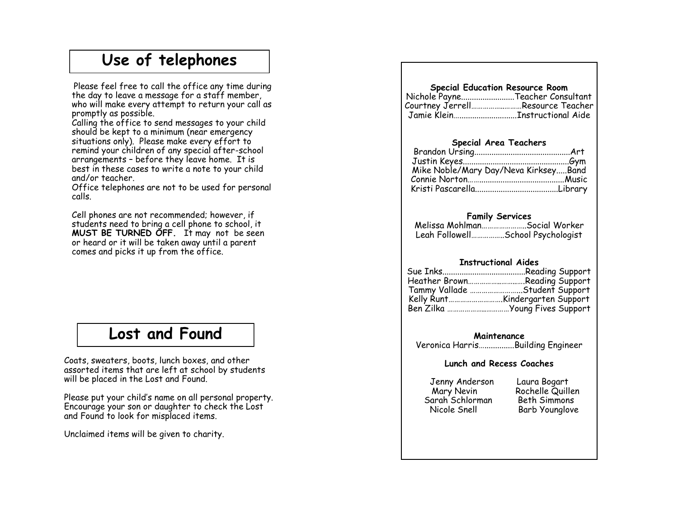### **Use of telephones**

 Please feel free to call the office any time during the day to leave a message for a staff member, who will make every attempt to return your call as promptly as possible.

Calling the office to send messages to your child should be kept to a minimum (near emergency situations only). Please make every effort to remind your children of any special after -school arrangements – before they leave home. It is best in these cases to write a note to your child and/or teacher.

Office telephones are not to be used for personal calls.

Cell phones are not recommended; however, if students need to bring a cell phone to school, it **MUST BE TURNED OFF.** It may not be seen or heard or it will be taken away until a parent comes and picks it up from the office.

#### **Lost and Found**

Coats, sweaters, boots, lunch boxes, and other assorted items that are left at school by students will be placed in the Lost and Found.

Please put your child 's name on all personal property. Encourage your son or daughter to check the Lost and Found to look for misplaced items.

Unclaimed items will be given to charity.

#### **Special Education Resource Room** Nichole Payne.........................Teacher Consultant

| Courtney JerrellResource Teacher |
|----------------------------------|
|                                  |

#### **Special Area Teachers**

#### **Family Services**

Melissa Mohlman…………………..Social Worker Leah Followell……………..School Psychologist

#### **Instructional Aides**

| Heather BrownReading Support   |
|--------------------------------|
| Tammy Vallade Student Support  |
|                                |
| Ben Zilka  Young Fives Support |

**Maintenance** 

Veronica Harris…..............Building Engineer

#### **Lunch and Recess Coaches**

Jenny Anderson Laura Bogart Sarah Schlorman Beth Simmons Nicole Snell Barb Younglove

Mary Nevin Rochelle Quillen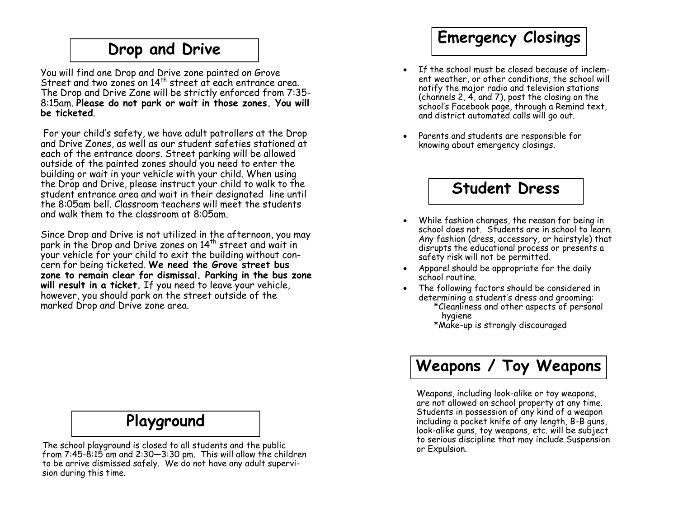### **Drop and Drive**

You will find one Drop and Drive zone painted on Grove Street and two zones on  $14<sup>th</sup>$  street at each entrance area. The Drop and Drive Zone will be strictly enforced from 7:35- 8:15am. **Please do not park or wait in those zones. You will be ticketed**.

For your child's safety, we have adult patrollers at the Drop and Drive Zones, as well as our student safeties stationed at each of the entrance doors. Street parking will be allowed outside of the painted zones should you need to enter the building or wait in your vehicle with your child. When using the Drop and Drive, please instruct your child to walk to the student entrance area and wait in their designated line until the 8:05am bell. Classroom teachers will meet the students and walk them to the classroom at 8:05am.

Since Drop and Drive is not utilized in the afternoon, you may park in the Drop and Drive zones on 14<sup>th</sup> street and wait in your vehicle for your child to exit the building without concern for being ticketed. **We need the Grove street bus zone to remain clear for dismissal. Parking in the bus zone will result in a ticket.** If you need to leave your vehicle, however, you should park on the street outside of the marked Drop and Drive zone area.

#### **Playground**

The school playground is closed to all students and the public from 7:45-8:15 am and 2:30—3:30 pm. This will allow the children to be arrive dismissed safely. We do not have any adult supervision during this time.

## **Emergency Closings**

- If the school must be closed because of inclement weather, or other conditions, the school will notify the major radio and television stations (channels 2, 4, and 7), post the closing on the school's Facebook page, through a Remind text, and district automated calls will go out.
- Parents and students are responsible for knowing about emergency closings.

## **Student Dress**

- While fashion changes, the reason for being in school does not. Students are in school to learn. Any fashion (dress, accessory, or hairstyle) that disrupts the educational process or presents a safety risk will not be permitted.
- Apparel should be appropriate for the daily school routine.
- The following factors should be considered in determining a student's dress and grooming:
	- \*Cleanliness and other aspects of personal hygiene
	- \*Make-up is strongly discouraged

## **Weapons / Toy Weapons**

Weapons, including look-alike or toy weapons, are not allowed on school property at any time. Students in possession of any kind of a weapon including a pocket knife of any length, B-B guns, look-alike guns, toy weapons, etc. will be subject to serious discipline that may include Suspension or Expulsion.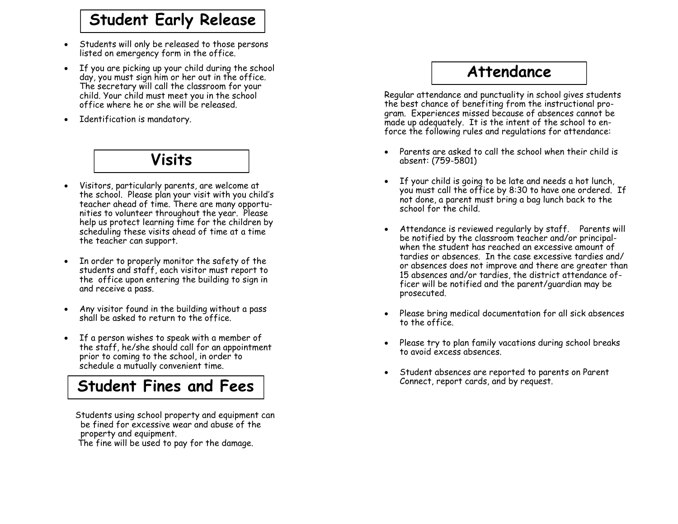## **Student Early Release**

- Students will only be released to those persons listed on emergency form in the office.
- If you are picking up your child during the school day, you must sign him or her out in the office. The secretary will call the classroom for your child. Your child must meet you in the school office where he or she will be released.
- Identification is mandatory.

#### **Visits**

- Visitors, particularly parents, are welcome at the school. Please plan your visit with you child 's teacher ahead of time. There are many opportunities to volunteer throughout the year. Please help us protect learning time for the children by scheduling these visits ahead of time at a time the teacher can support.
- In order to properly monitor the safety of the students and staff, each visitor must report to the office upon entering the building to sign in and receive a pass.
- Any visitor found in the building without a pass shall be asked to return to the office.
- If a person wishes to speak with a member of the staff, he/she should call for an appointment prior to coming to the school, in order to schedule a mutually convenient time.

### **Student Fines and Fees**

 Students using school property and equipment can be fined for excessive wear and abuse of the property and equipment.

The fine will be used to pay for the damage.

### **Attendance**

Regular attendance and punctuality in school gives students the best chance of benefiting from the instructional program. Experiences missed because of absences cannot be made up adequately. It is the intent of the school to enforce the following rules and regulations for attendance:

- Parents are asked to call the school when their child is absent: (759 -5801)
- If your child is going to be late and needs a hot lunch, you must call the office by 8:30 to have one ordered. If not done, a parent must bring a bag lunch back to the school for the child.
- Attendance is reviewed regularly by staff. Parents will be notified by the classroom teacher and/or principalwhen the student has reached an excessive amount of tardies or absences. In the case excessive tardies and/ or absences does not improve and there are greater than 15 absences and/or tardies, the district attendance officer will be notified and the parent/guardian may be prosecuted.
- Please bring medical documentation for all sick absences to the office.
- Please try to plan family vacations during school breaks to avoid excess absences.
- Student absences are reported to parents on Parent Connect, report cards, and by request.